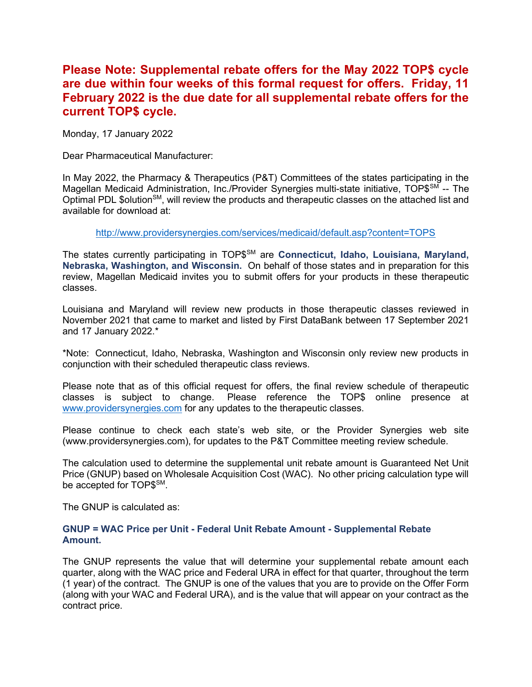# Please Note: Supplemental rebate offers for the May 2022 TOP\$ cycle are due within four weeks of this formal request for offers. Friday, 11 February 2022 is the due date for all supplemental rebate offers for the current TOP\$ cycle.

Monday, 17 January 2022

Dear Pharmaceutical Manufacturer:

In May 2022, the Pharmacy & Therapeutics (P&T) Committees of the states participating in the Magellan Medicaid Administration, Inc./Provider Synergies multi-state initiative, TOP\$SM -- The Optimal PDL \$olution<sup>SM</sup>, will review the products and therapeutic classes on the attached list and available for download at:

http://www.providersynergies.com/services/medicaid/default.asp?content=TOPS

The states currently participating in TOP\$<sup>SM</sup> are Connecticut, Idaho, Louisiana, Maryland, Nebraska, Washington, and Wisconsin. On behalf of those states and in preparation for this review, Magellan Medicaid invites you to submit offers for your products in these therapeutic classes.

Louisiana and Maryland will review new products in those therapeutic classes reviewed in November 2021 that came to market and listed by First DataBank between 17 September 2021 and 17 January 2022.\*

\*Note: Connecticut, Idaho, Nebraska, Washington and Wisconsin only review new products in conjunction with their scheduled therapeutic class reviews.

Please note that as of this official request for offers, the final review schedule of therapeutic classes is subject to change. Please reference the TOP\$ online presence at www.providersynergies.com for any updates to the therapeutic classes.

Please continue to check each state's web site, or the Provider Synergies web site (www.providersynergies.com), for updates to the P&T Committee meeting review schedule.

The calculation used to determine the supplemental unit rebate amount is Guaranteed Net Unit Price (GNUP) based on Wholesale Acquisition Cost (WAC). No other pricing calculation type will be accepted for TOP\$SM.

The GNUP is calculated as:

#### GNUP = WAC Price per Unit - Federal Unit Rebate Amount - Supplemental Rebate Amount.

The GNUP represents the value that will determine your supplemental rebate amount each quarter, along with the WAC price and Federal URA in effect for that quarter, throughout the term (1 year) of the contract. The GNUP is one of the values that you are to provide on the Offer Form (along with your WAC and Federal URA), and is the value that will appear on your contract as the contract price.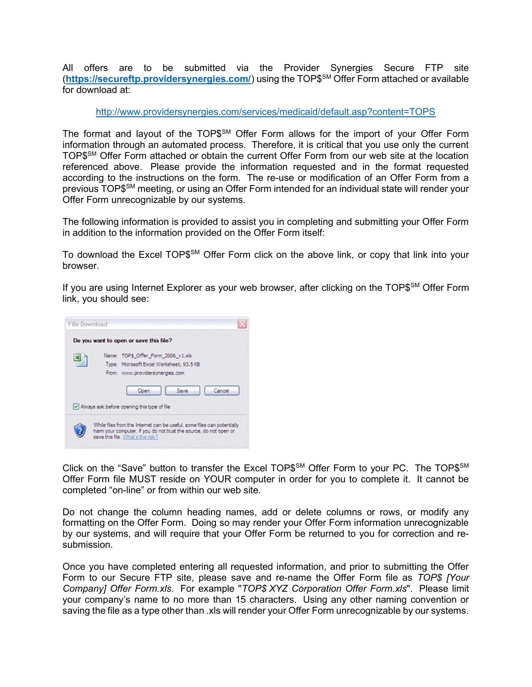All offers are to be submitted via the Provider Synergies Secure FTP site (https://secureftp.providersynergies.com/) using the TOP\$SM Offer Form attached or available for download at:

http://www.providersynergies.com/services/medicaid/default.asp?content=TOPS

The format and layout of the TOP\$<sup>SM</sup> Offer Form allows for the import of your Offer Form information through an automated process. Therefore, it is critical that you use only the current TOP\$SM Offer Form attached or obtain the current Offer Form from our web site at the location referenced above. Please provide the information requested and in the format requested according to the instructions on the form. The re-use or modification of an Offer Form from a previous TOP\$SM meeting, or using an Offer Form intended for an individual state will render your Offer Form unrecognizable by our systems.

The following information is provided to assist you in completing and submitting your Offer Form in addition to the information provided on the Offer Form itself:

To download the Excel TOP\$<sup>SM</sup> Offer Form click on the above link, or copy that link into your browser.

If you are using Internet Explorer as your web browser, after clicking on the TOP\$<sup>SM</sup> Offer Form link, you should see:



Click on the "Save" button to transfer the Excel TOP\$<sup>SM</sup> Offer Form to your PC. The TOP\$<sup>SM</sup> Offer Form file MUST reside on YOUR computer in order for you to complete it. It cannot be completed "on-line" or from within our web site.

Do not change the column heading names, add or delete columns or rows, or modify any formatting on the Offer Form. Doing so may render your Offer Form information unrecognizable by our systems, and will require that your Offer Form be returned to you for correction and resubmission.

Once you have completed entering all requested information, and prior to submitting the Offer Form to our Secure FTP site, please save and re-name the Offer Form file as TOP\$ [Your Company] Offer Form.xls. For example "TOP\$ XYZ Corporation Offer Form.xls". Please limit your company's name to no more than 15 characters. Using any other naming convention or saving the file as a type other than .xls will render your Offer Form unrecognizable by our systems.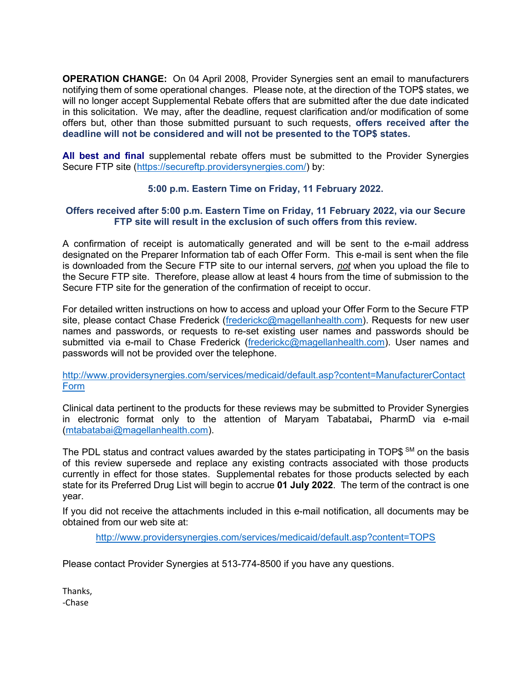OPERATION CHANGE: On 04 April 2008, Provider Synergies sent an email to manufacturers notifying them of some operational changes. Please note, at the direction of the TOP\$ states, we will no longer accept Supplemental Rebate offers that are submitted after the due date indicated in this solicitation. We may, after the deadline, request clarification and/or modification of some offers but, other than those submitted pursuant to such requests, offers received after the deadline will not be considered and will not be presented to the TOP\$ states.

All best and final supplemental rebate offers must be submitted to the Provider Synergies Secure FTP site (https://secureftp.providersynergies.com/) by:

# 5:00 p.m. Eastern Time on Friday, 11 February 2022.

### Offers received after 5:00 p.m. Eastern Time on Friday, 11 February 2022, via our Secure FTP site will result in the exclusion of such offers from this review.

A confirmation of receipt is automatically generated and will be sent to the e-mail address designated on the Preparer Information tab of each Offer Form. This e-mail is sent when the file is downloaded from the Secure FTP site to our internal servers, not when you upload the file to the Secure FTP site. Therefore, please allow at least 4 hours from the time of submission to the Secure FTP site for the generation of the confirmation of receipt to occur.

For detailed written instructions on how to access and upload your Offer Form to the Secure FTP site, please contact Chase Frederick (frederickc@magellanhealth.com). Requests for new user names and passwords, or requests to re-set existing user names and passwords should be submitted via e-mail to Chase Frederick (frederickc@magellanhealth.com). User names and passwords will not be provided over the telephone.

http://www.providersynergies.com/services/medicaid/default.asp?content=ManufacturerContact Form

Clinical data pertinent to the products for these reviews may be submitted to Provider Synergies in electronic format only to the attention of Maryam Tabatabai, PharmD via e-mail (mtabatabai@magellanhealth.com).

The PDL status and contract values awarded by the states participating in TOP\$  $\text{SM}$  on the basis of this review supersede and replace any existing contracts associated with those products currently in effect for those states. Supplemental rebates for those products selected by each state for its Preferred Drug List will begin to accrue 01 July 2022. The term of the contract is one year.

If you did not receive the attachments included in this e-mail notification, all documents may be obtained from our web site at:

http://www.providersynergies.com/services/medicaid/default.asp?content=TOPS

Please contact Provider Synergies at 513-774-8500 if you have any questions.

Thanks, -Chase